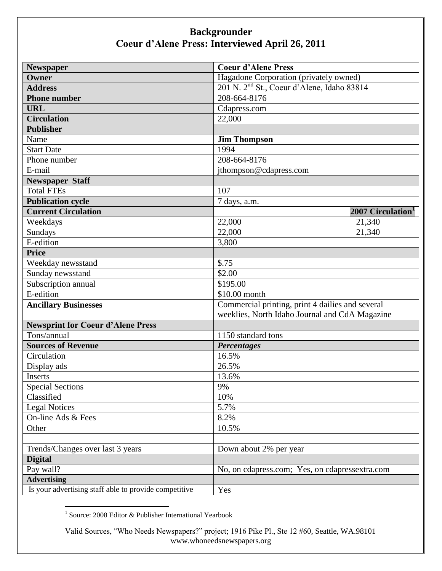| Newspaper                                             | <b>Coeur d'Alene Press</b>                             |
|-------------------------------------------------------|--------------------------------------------------------|
| <b>Owner</b>                                          | Hagadone Corporation (privately owned)                 |
| <b>Address</b>                                        | 201 N. 2 <sup>nd</sup> St., Coeur d'Alene, Idaho 83814 |
| <b>Phone number</b>                                   | 208-664-8176                                           |
| <b>URL</b>                                            | Cdapress.com                                           |
| <b>Circulation</b>                                    | 22,000                                                 |
| <b>Publisher</b>                                      |                                                        |
| Name                                                  | <b>Jim Thompson</b>                                    |
| <b>Start Date</b>                                     | 1994                                                   |
| Phone number                                          | 208-664-8176                                           |
| E-mail                                                | jthompson@cdapress.com                                 |
| <b>Newspaper Staff</b>                                |                                                        |
| <b>Total FTEs</b>                                     | 107                                                    |
| <b>Publication cycle</b>                              | 7 days, a.m.                                           |
| <b>Current Circulation</b>                            | 2007 Circulation <sup>1</sup>                          |
| Weekdays                                              | 22,000<br>21,340                                       |
| Sundays                                               | 22,000<br>21,340                                       |
| E-edition                                             | 3,800                                                  |
| <b>Price</b>                                          |                                                        |
| Weekday newsstand                                     | \$.75                                                  |
| Sunday newsstand                                      | \$2.00                                                 |
| Subscription annual                                   | \$195.00                                               |
| E-edition                                             | \$10.00 month                                          |
| <b>Ancillary Businesses</b>                           | Commercial printing, print 4 dailies and several       |
|                                                       | weeklies, North Idaho Journal and CdA Magazine         |
| <b>Newsprint for Coeur d'Alene Press</b>              |                                                        |
| Tons/annual                                           | 1150 standard tons                                     |
| <b>Sources of Revenue</b>                             | <b>Percentages</b>                                     |
| Circulation                                           | 16.5%                                                  |
| Display ads                                           | 26.5%                                                  |
| Inserts                                               | 13.6%                                                  |
| <b>Special Sections</b>                               | 9%                                                     |
| Classified                                            | 10%                                                    |
| <b>Legal Notices</b>                                  | 5.7%                                                   |
| On-line Ads & Fees                                    | 8.2%                                                   |
| Other                                                 | 10.5%                                                  |
|                                                       |                                                        |
| Trends/Changes over last 3 years                      | Down about 2% per year                                 |
| <b>Digital</b>                                        |                                                        |
| Pay wall?                                             | No, on cdapress.com; Yes, on cdapressextra.com         |
| <b>Advertising</b>                                    |                                                        |
| Is your advertising staff able to provide competitive | Yes                                                    |

1 Source: 2008 Editor & Publisher International Yearbook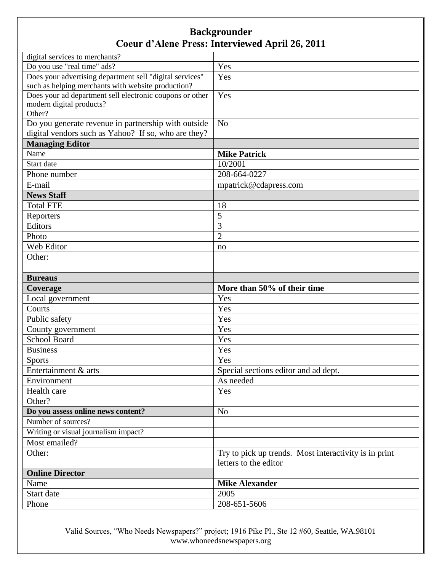| digital services to merchants?                                                                                                                                                                                                                                                                                                                                                                  |                                                                                                                                                                                                                                                        |
|-------------------------------------------------------------------------------------------------------------------------------------------------------------------------------------------------------------------------------------------------------------------------------------------------------------------------------------------------------------------------------------------------|--------------------------------------------------------------------------------------------------------------------------------------------------------------------------------------------------------------------------------------------------------|
| Do you use "real time" ads?                                                                                                                                                                                                                                                                                                                                                                     | Yes                                                                                                                                                                                                                                                    |
| Does your advertising department sell "digital services"                                                                                                                                                                                                                                                                                                                                        | Yes                                                                                                                                                                                                                                                    |
| such as helping merchants with website production?                                                                                                                                                                                                                                                                                                                                              |                                                                                                                                                                                                                                                        |
| Does your ad department sell electronic coupons or other                                                                                                                                                                                                                                                                                                                                        | Yes                                                                                                                                                                                                                                                    |
| modern digital products?                                                                                                                                                                                                                                                                                                                                                                        |                                                                                                                                                                                                                                                        |
| Other?                                                                                                                                                                                                                                                                                                                                                                                          |                                                                                                                                                                                                                                                        |
| Do you generate revenue in partnership with outside                                                                                                                                                                                                                                                                                                                                             | N <sub>o</sub>                                                                                                                                                                                                                                         |
| digital vendors such as Yahoo? If so, who are they?                                                                                                                                                                                                                                                                                                                                             |                                                                                                                                                                                                                                                        |
| <b>Managing Editor</b>                                                                                                                                                                                                                                                                                                                                                                          |                                                                                                                                                                                                                                                        |
| Name                                                                                                                                                                                                                                                                                                                                                                                            | <b>Mike Patrick</b>                                                                                                                                                                                                                                    |
|                                                                                                                                                                                                                                                                                                                                                                                                 |                                                                                                                                                                                                                                                        |
|                                                                                                                                                                                                                                                                                                                                                                                                 |                                                                                                                                                                                                                                                        |
|                                                                                                                                                                                                                                                                                                                                                                                                 | mpatrick@cdapress.com                                                                                                                                                                                                                                  |
|                                                                                                                                                                                                                                                                                                                                                                                                 |                                                                                                                                                                                                                                                        |
|                                                                                                                                                                                                                                                                                                                                                                                                 | 18                                                                                                                                                                                                                                                     |
| Reporters                                                                                                                                                                                                                                                                                                                                                                                       | 5                                                                                                                                                                                                                                                      |
| Editors                                                                                                                                                                                                                                                                                                                                                                                         | 3                                                                                                                                                                                                                                                      |
| Photo                                                                                                                                                                                                                                                                                                                                                                                           | $\overline{2}$                                                                                                                                                                                                                                         |
| Web Editor                                                                                                                                                                                                                                                                                                                                                                                      | no                                                                                                                                                                                                                                                     |
| Other:                                                                                                                                                                                                                                                                                                                                                                                          |                                                                                                                                                                                                                                                        |
|                                                                                                                                                                                                                                                                                                                                                                                                 |                                                                                                                                                                                                                                                        |
| <b>Bureaus</b>                                                                                                                                                                                                                                                                                                                                                                                  |                                                                                                                                                                                                                                                        |
| Coverage                                                                                                                                                                                                                                                                                                                                                                                        | More than 50% of their time                                                                                                                                                                                                                            |
|                                                                                                                                                                                                                                                                                                                                                                                                 | Yes                                                                                                                                                                                                                                                    |
| Courts                                                                                                                                                                                                                                                                                                                                                                                          | Yes                                                                                                                                                                                                                                                    |
| Public safety                                                                                                                                                                                                                                                                                                                                                                                   | Yes                                                                                                                                                                                                                                                    |
|                                                                                                                                                                                                                                                                                                                                                                                                 | Yes                                                                                                                                                                                                                                                    |
| School Board                                                                                                                                                                                                                                                                                                                                                                                    | Yes                                                                                                                                                                                                                                                    |
| <b>Business</b>                                                                                                                                                                                                                                                                                                                                                                                 |                                                                                                                                                                                                                                                        |
|                                                                                                                                                                                                                                                                                                                                                                                                 |                                                                                                                                                                                                                                                        |
|                                                                                                                                                                                                                                                                                                                                                                                                 |                                                                                                                                                                                                                                                        |
|                                                                                                                                                                                                                                                                                                                                                                                                 |                                                                                                                                                                                                                                                        |
|                                                                                                                                                                                                                                                                                                                                                                                                 |                                                                                                                                                                                                                                                        |
|                                                                                                                                                                                                                                                                                                                                                                                                 |                                                                                                                                                                                                                                                        |
|                                                                                                                                                                                                                                                                                                                                                                                                 |                                                                                                                                                                                                                                                        |
|                                                                                                                                                                                                                                                                                                                                                                                                 |                                                                                                                                                                                                                                                        |
|                                                                                                                                                                                                                                                                                                                                                                                                 |                                                                                                                                                                                                                                                        |
|                                                                                                                                                                                                                                                                                                                                                                                                 |                                                                                                                                                                                                                                                        |
|                                                                                                                                                                                                                                                                                                                                                                                                 |                                                                                                                                                                                                                                                        |
|                                                                                                                                                                                                                                                                                                                                                                                                 |                                                                                                                                                                                                                                                        |
|                                                                                                                                                                                                                                                                                                                                                                                                 |                                                                                                                                                                                                                                                        |
|                                                                                                                                                                                                                                                                                                                                                                                                 |                                                                                                                                                                                                                                                        |
|                                                                                                                                                                                                                                                                                                                                                                                                 |                                                                                                                                                                                                                                                        |
|                                                                                                                                                                                                                                                                                                                                                                                                 |                                                                                                                                                                                                                                                        |
| Start date<br>Phone number<br>E-mail<br><b>News Staff</b><br><b>Total FTE</b><br>Local government<br>County government<br><b>Sports</b><br>Entertainment & arts<br>Environment<br>Health care<br>Other?<br>Do you assess online news content?<br>Number of sources?<br>Writing or visual journalism impact?<br>Most emailed?<br>Other:<br><b>Online Director</b><br>Name<br>Start date<br>Phone | 10/2001<br>208-664-0227<br>Yes<br>Yes<br>Special sections editor and ad dept.<br>As needed<br>Yes<br>N <sub>o</sub><br>Try to pick up trends. Most interactivity is in print<br>letters to the editor<br><b>Mike Alexander</b><br>2005<br>208-651-5606 |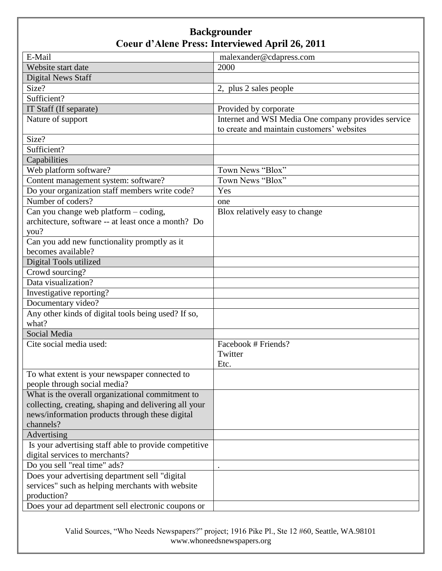| E-Mail                                                | malexander@cdapress.com                             |
|-------------------------------------------------------|-----------------------------------------------------|
| Website start date                                    | 2000                                                |
| <b>Digital News Staff</b>                             |                                                     |
| Size?                                                 | 2, plus 2 sales people                              |
| Sufficient?                                           |                                                     |
| IT Staff (If separate)                                | Provided by corporate                               |
| Nature of support                                     | Internet and WSI Media One company provides service |
|                                                       | to create and maintain customers' websites          |
| Size?                                                 |                                                     |
| Sufficient?                                           |                                                     |
| Capabilities                                          |                                                     |
| Web platform software?                                | Town News "Blox"                                    |
| Content management system: software?                  | Town News "Blox"                                    |
| Do your organization staff members write code?        | Yes                                                 |
| Number of coders?                                     | one                                                 |
| Can you change web platform - coding,                 | Blox relatively easy to change                      |
| architecture, software -- at least once a month? Do   |                                                     |
| you?                                                  |                                                     |
| Can you add new functionality promptly as it          |                                                     |
| becomes available?                                    |                                                     |
| Digital Tools utilized                                |                                                     |
| Crowd sourcing?                                       |                                                     |
| Data visualization?                                   |                                                     |
| Investigative reporting?                              |                                                     |
| Documentary video?                                    |                                                     |
| Any other kinds of digital tools being used? If so,   |                                                     |
| what?                                                 |                                                     |
| Social Media                                          |                                                     |
| Cite social media used:                               | Facebook # Friends?                                 |
|                                                       | Twitter                                             |
|                                                       | Etc.                                                |
| To what extent is your newspaper connected to         |                                                     |
| people through social media?                          |                                                     |
| What is the overall organizational commitment to      |                                                     |
| collecting, creating, shaping and delivering all your |                                                     |
| news/information products through these digital       |                                                     |
| channels?                                             |                                                     |
| Advertising                                           |                                                     |
| Is your advertising staff able to provide competitive |                                                     |
| digital services to merchants?                        |                                                     |
| Do you sell "real time" ads?                          |                                                     |
| Does your advertising department sell "digital"       |                                                     |
| services" such as helping merchants with website      |                                                     |
| production?                                           |                                                     |
| Does your ad department sell electronic coupons or    |                                                     |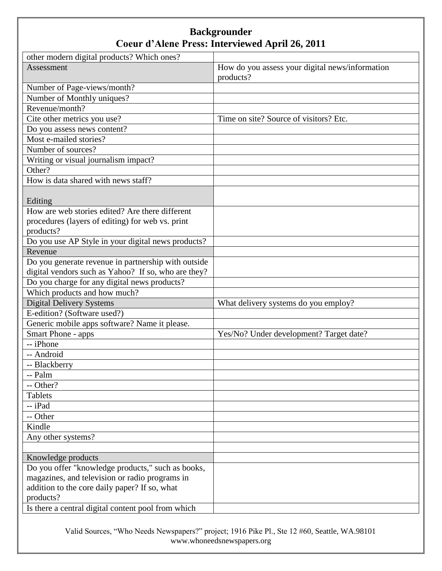| other modern digital products? Which ones?          |                                                 |
|-----------------------------------------------------|-------------------------------------------------|
| Assessment                                          | How do you assess your digital news/information |
|                                                     | products?                                       |
| Number of Page-views/month?                         |                                                 |
| Number of Monthly uniques?                          |                                                 |
| Revenue/month?                                      |                                                 |
| Cite other metrics you use?                         | Time on site? Source of visitors? Etc.          |
| Do you assess news content?                         |                                                 |
| Most e-mailed stories?                              |                                                 |
| Number of sources?                                  |                                                 |
| Writing or visual journalism impact?                |                                                 |
| Other?                                              |                                                 |
| How is data shared with news staff?                 |                                                 |
|                                                     |                                                 |
| Editing                                             |                                                 |
| How are web stories edited? Are there different     |                                                 |
| procedures (layers of editing) for web vs. print    |                                                 |
| products?                                           |                                                 |
| Do you use AP Style in your digital news products?  |                                                 |
| Revenue                                             |                                                 |
| Do you generate revenue in partnership with outside |                                                 |
| digital vendors such as Yahoo? If so, who are they? |                                                 |
| Do you charge for any digital news products?        |                                                 |
| Which products and how much?                        |                                                 |
| <b>Digital Delivery Systems</b>                     | What delivery systems do you employ?            |
| E-edition? (Software used?)                         |                                                 |
| Generic mobile apps software? Name it please.       |                                                 |
| Smart Phone - apps                                  | Yes/No? Under development? Target date?         |
| -- iPhone                                           |                                                 |
| -- Android                                          |                                                 |
| -- Blackberry                                       |                                                 |
| -- Palm                                             |                                                 |
| -- Other?                                           |                                                 |
| <b>Tablets</b>                                      |                                                 |
| -- iPad                                             |                                                 |
| -- Other                                            |                                                 |
| Kindle                                              |                                                 |
| Any other systems?                                  |                                                 |
|                                                     |                                                 |
| Knowledge products                                  |                                                 |
| Do you offer "knowledge products," such as books,   |                                                 |
| magazines, and television or radio programs in      |                                                 |
| addition to the core daily paper? If so, what       |                                                 |
| products?                                           |                                                 |
| Is there a central digital content pool from which  |                                                 |